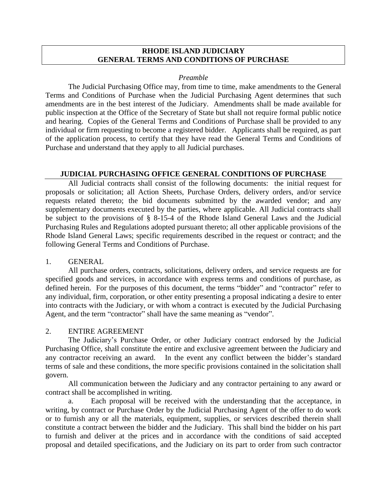#### **RHODE ISLAND JUDICIARY GENERAL TERMS AND CONDITIONS OF PURCHASE**

#### *Preamble*

The Judicial Purchasing Office may, from time to time, make amendments to the General Terms and Conditions of Purchase when the Judicial Purchasing Agent determines that such amendments are in the best interest of the Judiciary. Amendments shall be made available for public inspection at the Office of the Secretary of State but shall not require formal public notice and hearing. Copies of the General Terms and Conditions of Purchase shall be provided to any individual or firm requesting to become a registered bidder. Applicants shall be required, as part of the application process, to certify that they have read the General Terms and Conditions of Purchase and understand that they apply to all Judicial purchases.

#### **JUDICIAL PURCHASING OFFICE GENERAL CONDITIONS OF PURCHASE**

All Judicial contracts shall consist of the following documents: the initial request for proposals or solicitation; all Action Sheets, Purchase Orders, delivery orders, and/or service requests related thereto; the bid documents submitted by the awarded vendor; and any supplementary documents executed by the parties, where applicable. All Judicial contracts shall be subject to the provisions of § 8-15-4 of the Rhode Island General Laws and the Judicial Purchasing Rules and Regulations adopted pursuant thereto; all other applicable provisions of the Rhode Island General Laws; specific requirements described in the request or contract; and the following General Terms and Conditions of Purchase.

#### 1. GENERAL

All purchase orders, contracts, solicitations, delivery orders, and service requests are for specified goods and services, in accordance with express terms and conditions of purchase, as defined herein. For the purposes of this document, the terms "bidder" and "contractor" refer to any individual, firm, corporation, or other entity presenting a proposal indicating a desire to enter into contracts with the Judiciary, or with whom a contract is executed by the Judicial Purchasing Agent, and the term "contractor" shall have the same meaning as "vendor".

#### 2. ENTIRE AGREEMENT

The Judiciary's Purchase Order, or other Judiciary contract endorsed by the Judicial Purchasing Office, shall constitute the entire and exclusive agreement between the Judiciary and any contractor receiving an award. In the event any conflict between the bidder's standard terms of sale and these conditions, the more specific provisions contained in the solicitation shall govern.

All communication between the Judiciary and any contractor pertaining to any award or contract shall be accomplished in writing.

a. Each proposal will be received with the understanding that the acceptance, in writing, by contract or Purchase Order by the Judicial Purchasing Agent of the offer to do work or to furnish any or all the materials, equipment, supplies, or services described therein shall constitute a contract between the bidder and the Judiciary. This shall bind the bidder on his part to furnish and deliver at the prices and in accordance with the conditions of said accepted proposal and detailed specifications, and the Judiciary on its part to order from such contractor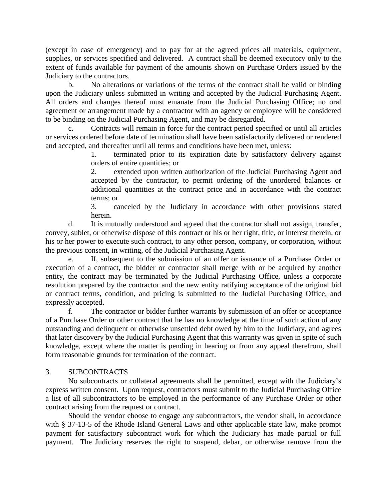(except in case of emergency) and to pay for at the agreed prices all materials, equipment, supplies, or services specified and delivered. A contract shall be deemed executory only to the extent of funds available for payment of the amounts shown on Purchase Orders issued by the Judiciary to the contractors.

b. No alterations or variations of the terms of the contract shall be valid or binding upon the Judiciary unless submitted in writing and accepted by the Judicial Purchasing Agent. All orders and changes thereof must emanate from the Judicial Purchasing Office; no oral agreement or arrangement made by a contractor with an agency or employee will be considered to be binding on the Judicial Purchasing Agent, and may be disregarded.

c. Contracts will remain in force for the contract period specified or until all articles or services ordered before date of termination shall have been satisfactorily delivered or rendered and accepted, and thereafter until all terms and conditions have been met, unless:

1. terminated prior to its expiration date by satisfactory delivery against orders of entire quantities; or

2. extended upon written authorization of the Judicial Purchasing Agent and accepted by the contractor, to permit ordering of the unordered balances or additional quantities at the contract price and in accordance with the contract terms; or

3. canceled by the Judiciary in accordance with other provisions stated herein.

d. It is mutually understood and agreed that the contractor shall not assign, transfer, convey, sublet, or otherwise dispose of this contract or his or her right, title, or interest therein, or his or her power to execute such contract, to any other person, company, or corporation, without the previous consent, in writing, of the Judicial Purchasing Agent.

e. If, subsequent to the submission of an offer or issuance of a Purchase Order or execution of a contract, the bidder or contractor shall merge with or be acquired by another entity, the contract may be terminated by the Judicial Purchasing Office, unless a corporate resolution prepared by the contractor and the new entity ratifying acceptance of the original bid or contract terms, condition, and pricing is submitted to the Judicial Purchasing Office, and expressly accepted.

f. The contractor or bidder further warrants by submission of an offer or acceptance of a Purchase Order or other contract that he has no knowledge at the time of such action of any outstanding and delinquent or otherwise unsettled debt owed by him to the Judiciary, and agrees that later discovery by the Judicial Purchasing Agent that this warranty was given in spite of such knowledge, except where the matter is pending in hearing or from any appeal therefrom, shall form reasonable grounds for termination of the contract.

## 3. SUBCONTRACTS

No subcontracts or collateral agreements shall be permitted, except with the Judiciary's express written consent. Upon request, contractors must submit to the Judicial Purchasing Office a list of all subcontractors to be employed in the performance of any Purchase Order or other contract arising from the request or contract.

Should the vendor choose to engage any subcontractors, the vendor shall, in accordance with § 37-13-5 of the Rhode Island General Laws and other applicable state law, make prompt payment for satisfactory subcontract work for which the Judiciary has made partial or full payment. The Judiciary reserves the right to suspend, debar, or otherwise remove from the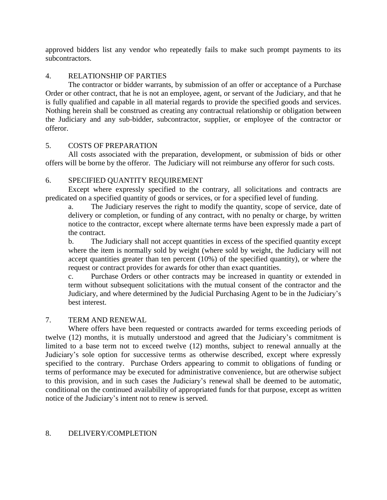approved bidders list any vendor who repeatedly fails to make such prompt payments to its subcontractors.

## 4. RELATIONSHIP OF PARTIES

The contractor or bidder warrants, by submission of an offer or acceptance of a Purchase Order or other contract, that he is not an employee, agent, or servant of the Judiciary, and that he is fully qualified and capable in all material regards to provide the specified goods and services. Nothing herein shall be construed as creating any contractual relationship or obligation between the Judiciary and any sub-bidder, subcontractor, supplier, or employee of the contractor or offeror.

## 5. COSTS OF PREPARATION

All costs associated with the preparation, development, or submission of bids or other offers will be borne by the offeror. The Judiciary will not reimburse any offeror for such costs.

## 6. SPECIFIED QUANTITY REQUIREMENT

Except where expressly specified to the contrary, all solicitations and contracts are predicated on a specified quantity of goods or services, or for a specified level of funding.

a. The Judiciary reserves the right to modify the quantity, scope of service, date of delivery or completion, or funding of any contract, with no penalty or charge, by written notice to the contractor, except where alternate terms have been expressly made a part of the contract.

b. The Judiciary shall not accept quantities in excess of the specified quantity except where the item is normally sold by weight (where sold by weight, the Judiciary will not accept quantities greater than ten percent (10%) of the specified quantity), or where the request or contract provides for awards for other than exact quantities.

c. Purchase Orders or other contracts may be increased in quantity or extended in term without subsequent solicitations with the mutual consent of the contractor and the Judiciary, and where determined by the Judicial Purchasing Agent to be in the Judiciary's best interest.

## 7. TERM AND RENEWAL

Where offers have been requested or contracts awarded for terms exceeding periods of twelve (12) months, it is mutually understood and agreed that the Judiciary's commitment is limited to a base term not to exceed twelve (12) months, subject to renewal annually at the Judiciary's sole option for successive terms as otherwise described, except where expressly specified to the contrary. Purchase Orders appearing to commit to obligations of funding or terms of performance may be executed for administrative convenience, but are otherwise subject to this provision, and in such cases the Judiciary's renewal shall be deemed to be automatic, conditional on the continued availability of appropriated funds for that purpose, except as written notice of the Judiciary's intent not to renew is served.

#### 8. DELIVERY/COMPLETION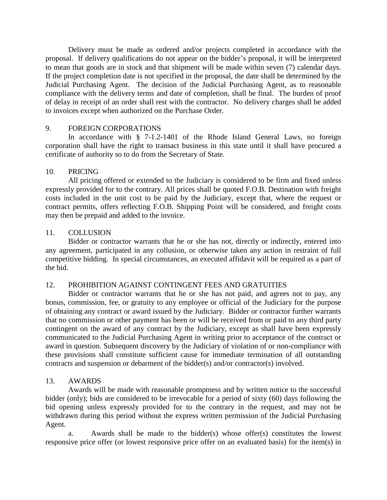Delivery must be made as ordered and/or projects completed in accordance with the proposal. If delivery qualifications do not appear on the bidder's proposal, it will be interpreted to mean that goods are in stock and that shipment will be made within seven (7) calendar days. If the project completion date is not specified in the proposal, the date shall be determined by the Judicial Purchasing Agent. The decision of the Judicial Purchasing Agent, as to reasonable compliance with the delivery terms and date of completion, shall be final. The burden of proof of delay in receipt of an order shall rest with the contractor. No delivery charges shall be added to invoices except when authorized on the Purchase Order.

## 9. FOREIGN CORPORATIONS

In accordance with § 7-1.2-1401 of the Rhode Island General Laws, no foreign corporation shall have the right to transact business in this state until it shall have procured a certificate of authority so to do from the Secretary of State.

## 10. PRICING

All pricing offered or extended to the Judiciary is considered to be firm and fixed unless expressly provided for to the contrary. All prices shall be quoted F.O.B. Destination with freight costs included in the unit cost to be paid by the Judiciary, except that, where the request or contract permits, offers reflecting F.O.B. Shipping Point will be considered, and freight costs may then be prepaid and added to the invoice.

## 11. COLLUSION

Bidder or contractor warrants that he or she has not, directly or indirectly, entered into any agreement, participated in any collusion, or otherwise taken any action in restraint of full competitive bidding. In special circumstances, an executed affidavit will be required as a part of the bid.

## 12. PROHIBITION AGAINST CONTINGENT FEES AND GRATUITIES

Bidder or contractor warrants that he or she has not paid, and agrees not to pay, any bonus, commission, fee, or gratuity to any employee or official of the Judiciary for the purpose of obtaining any contract or award issued by the Judiciary. Bidder or contractor further warrants that no commission or other payment has been or will be received from or paid to any third party contingent on the award of any contract by the Judiciary, except as shall have been expressly communicated to the Judicial Purchasing Agent in writing prior to acceptance of the contract or award in question. Subsequent discovery by the Judiciary of violation of or non-compliance with these provisions shall constitute sufficient cause for immediate termination of all outstanding contracts and suspension or debarment of the bidder(s) and/or contractor(s) involved.

## 13. AWARDS

Awards will be made with reasonable promptness and by written notice to the successful bidder (only); bids are considered to be irrevocable for a period of sixty (60) days following the bid opening unless expressly provided for to the contrary in the request, and may not be withdrawn during this period without the express written permission of the Judicial Purchasing Agent.

a. Awards shall be made to the bidder(s) whose offer(s) constitutes the lowest responsive price offer (or lowest responsive price offer on an evaluated basis) for the item(s) in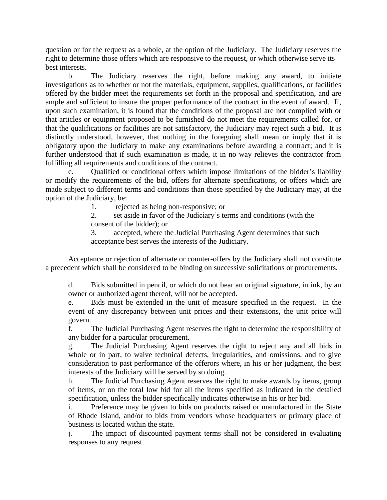question or for the request as a whole, at the option of the Judiciary. The Judiciary reserves the right to determine those offers which are responsive to the request, or which otherwise serve its best interests.

b. The Judiciary reserves the right, before making any award, to initiate investigations as to whether or not the materials, equipment, supplies, qualifications, or facilities offered by the bidder meet the requirements set forth in the proposal and specification, and are ample and sufficient to insure the proper performance of the contract in the event of award. If, upon such examination, it is found that the conditions of the proposal are not complied with or that articles or equipment proposed to be furnished do not meet the requirements called for, or that the qualifications or facilities are not satisfactory, the Judiciary may reject such a bid. It is distinctly understood, however, that nothing in the foregoing shall mean or imply that it is obligatory upon the Judiciary to make any examinations before awarding a contract; and it is further understood that if such examination is made, it in no way relieves the contractor from fulfilling all requirements and conditions of the contract.

c. Qualified or conditional offers which impose limitations of the bidder's liability or modify the requirements of the bid, offers for alternate specifications, or offers which are made subject to different terms and conditions than those specified by the Judiciary may, at the option of the Judiciary, be:

1. rejected as being non-responsive; or

2. set aside in favor of the Judiciary's terms and conditions (with the consent of the bidder); or

3. accepted, where the Judicial Purchasing Agent determines that such acceptance best serves the interests of the Judiciary.

Acceptance or rejection of alternate or counter-offers by the Judiciary shall not constitute a precedent which shall be considered to be binding on successive solicitations or procurements.

d. Bids submitted in pencil, or which do not bear an original signature, in ink, by an owner or authorized agent thereof, will not be accepted.

e. Bids must be extended in the unit of measure specified in the request. In the event of any discrepancy between unit prices and their extensions, the unit price will govern.

f. The Judicial Purchasing Agent reserves the right to determine the responsibility of any bidder for a particular procurement.

g. The Judicial Purchasing Agent reserves the right to reject any and all bids in whole or in part, to waive technical defects, irregularities, and omissions, and to give consideration to past performance of the offerors where, in his or her judgment, the best interests of the Judiciary will be served by so doing.

h. The Judicial Purchasing Agent reserves the right to make awards by items, group of items, or on the total low bid for all the items specified as indicated in the detailed specification, unless the bidder specifically indicates otherwise in his or her bid.

i. Preference may be given to bids on products raised or manufactured in the State of Rhode Island, and/or to bids from vendors whose headquarters or primary place of business is located within the state.

j. The impact of discounted payment terms shall not be considered in evaluating responses to any request.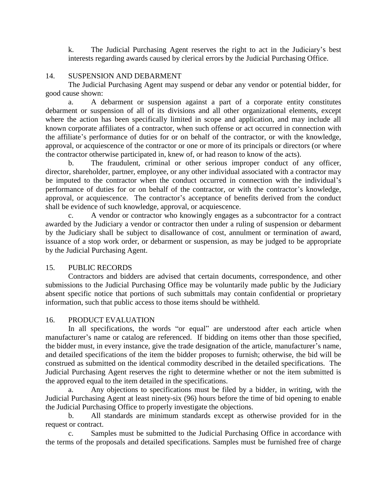k. The Judicial Purchasing Agent reserves the right to act in the Judiciary's best interests regarding awards caused by clerical errors by the Judicial Purchasing Office.

#### 14. SUSPENSION AND DEBARMENT

The Judicial Purchasing Agent may suspend or debar any vendor or potential bidder, for good cause shown:

a. A debarment or suspension against a part of a corporate entity constitutes debarment or suspension of all of its divisions and all other organizational elements, except where the action has been specifically limited in scope and application, and may include all known corporate affiliates of a contractor, when such offense or act occurred in connection with the affiliate's performance of duties for or on behalf of the contractor, or with the knowledge, approval, or acquiescence of the contractor or one or more of its principals or directors (or where the contractor otherwise participated in, knew of, or had reason to know of the acts).

b. The fraudulent, criminal or other serious improper conduct of any officer, director, shareholder, partner, employee, or any other individual associated with a contractor may be imputed to the contractor when the conduct occurred in connection with the individual's performance of duties for or on behalf of the contractor, or with the contractor's knowledge, approval, or acquiescence. The contractor's acceptance of benefits derived from the conduct shall be evidence of such knowledge, approval, or acquiescence.

c. A vendor or contractor who knowingly engages as a subcontractor for a contract awarded by the Judiciary a vendor or contractor then under a ruling of suspension or debarment by the Judiciary shall be subject to disallowance of cost, annulment or termination of award, issuance of a stop work order, or debarment or suspension, as may be judged to be appropriate by the Judicial Purchasing Agent.

#### 15. PUBLIC RECORDS

Contractors and bidders are advised that certain documents, correspondence, and other submissions to the Judicial Purchasing Office may be voluntarily made public by the Judiciary absent specific notice that portions of such submittals may contain confidential or proprietary information, such that public access to those items should be withheld.

#### 16. PRODUCT EVALUATION

In all specifications, the words "or equal" are understood after each article when manufacturer's name or catalog are referenced. If bidding on items other than those specified, the bidder must, in every instance, give the trade designation of the article, manufacturer's name, and detailed specifications of the item the bidder proposes to furnish; otherwise, the bid will be construed as submitted on the identical commodity described in the detailed specifications. The Judicial Purchasing Agent reserves the right to determine whether or not the item submitted is the approved equal to the item detailed in the specifications.

a. Any objections to specifications must be filed by a bidder, in writing, with the Judicial Purchasing Agent at least ninety-six (96) hours before the time of bid opening to enable the Judicial Purchasing Office to properly investigate the objections.

b. All standards are minimum standards except as otherwise provided for in the request or contract.

c. Samples must be submitted to the Judicial Purchasing Office in accordance with the terms of the proposals and detailed specifications. Samples must be furnished free of charge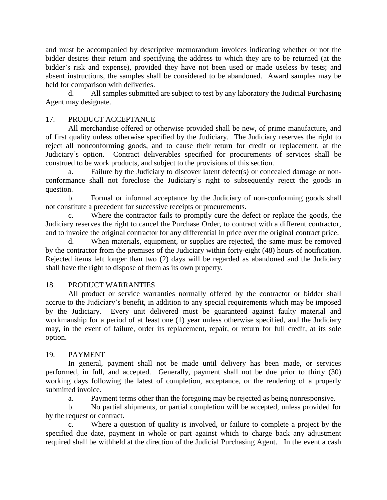and must be accompanied by descriptive memorandum invoices indicating whether or not the bidder desires their return and specifying the address to which they are to be returned (at the bidder's risk and expense), provided they have not been used or made useless by tests; and absent instructions, the samples shall be considered to be abandoned. Award samples may be held for comparison with deliveries.

d. All samples submitted are subject to test by any laboratory the Judicial Purchasing Agent may designate.

## 17. PRODUCT ACCEPTANCE

All merchandise offered or otherwise provided shall be new, of prime manufacture, and of first quality unless otherwise specified by the Judiciary. The Judiciary reserves the right to reject all nonconforming goods, and to cause their return for credit or replacement, at the Judiciary's option. Contract deliverables specified for procurements of services shall be construed to be work products, and subject to the provisions of this section.

a. Failure by the Judiciary to discover latent defect(s) or concealed damage or nonconformance shall not foreclose the Judiciary's right to subsequently reject the goods in question.

b. Formal or informal acceptance by the Judiciary of non-conforming goods shall not constitute a precedent for successive receipts or procurements.

c. Where the contractor fails to promptly cure the defect or replace the goods, the Judiciary reserves the right to cancel the Purchase Order, to contract with a different contractor, and to invoice the original contractor for any differential in price over the original contract price.

d. When materials, equipment, or supplies are rejected, the same must be removed by the contractor from the premises of the Judiciary within forty-eight (48) hours of notification. Rejected items left longer than two (2) days will be regarded as abandoned and the Judiciary shall have the right to dispose of them as its own property.

## 18. PRODUCT WARRANTIES

All product or service warranties normally offered by the contractor or bidder shall accrue to the Judiciary's benefit, in addition to any special requirements which may be imposed by the Judiciary. Every unit delivered must be guaranteed against faulty material and workmanship for a period of at least one (1) year unless otherwise specified, and the Judiciary may, in the event of failure, order its replacement, repair, or return for full credit, at its sole option.

# 19. PAYMENT

In general, payment shall not be made until delivery has been made, or services performed, in full, and accepted. Generally, payment shall not be due prior to thirty (30) working days following the latest of completion, acceptance, or the rendering of a properly submitted invoice.

a. Payment terms other than the foregoing may be rejected as being nonresponsive.

b. No partial shipments, or partial completion will be accepted, unless provided for by the request or contract.

c. Where a question of quality is involved, or failure to complete a project by the specified due date, payment in whole or part against which to charge back any adjustment required shall be withheld at the direction of the Judicial Purchasing Agent. In the event a cash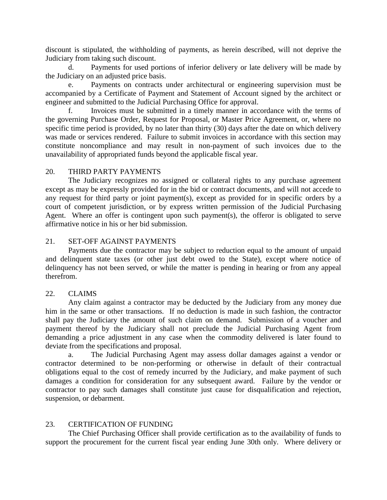discount is stipulated, the withholding of payments, as herein described, will not deprive the Judiciary from taking such discount.

d. Payments for used portions of inferior delivery or late delivery will be made by the Judiciary on an adjusted price basis.

Payments on contracts under architectural or engineering supervision must be accompanied by a Certificate of Payment and Statement of Account signed by the architect or engineer and submitted to the Judicial Purchasing Office for approval.

f. Invoices must be submitted in a timely manner in accordance with the terms of the governing Purchase Order, Request for Proposal, or Master Price Agreement, or, where no specific time period is provided, by no later than thirty (30) days after the date on which delivery was made or services rendered. Failure to submit invoices in accordance with this section may constitute noncompliance and may result in non-payment of such invoices due to the unavailability of appropriated funds beyond the applicable fiscal year.

#### 20. THIRD PARTY PAYMENTS

The Judiciary recognizes no assigned or collateral rights to any purchase agreement except as may be expressly provided for in the bid or contract documents, and will not accede to any request for third party or joint payment(s), except as provided for in specific orders by a court of competent jurisdiction, or by express written permission of the Judicial Purchasing Agent. Where an offer is contingent upon such payment(s), the offeror is obligated to serve affirmative notice in his or her bid submission.

#### 21. SET-OFF AGAINST PAYMENTS

Payments due the contractor may be subject to reduction equal to the amount of unpaid and delinquent state taxes (or other just debt owed to the State), except where notice of delinquency has not been served, or while the matter is pending in hearing or from any appeal therefrom.

#### 22. CLAIMS

Any claim against a contractor may be deducted by the Judiciary from any money due him in the same or other transactions. If no deduction is made in such fashion, the contractor shall pay the Judiciary the amount of such claim on demand. Submission of a voucher and payment thereof by the Judiciary shall not preclude the Judicial Purchasing Agent from demanding a price adjustment in any case when the commodity delivered is later found to deviate from the specifications and proposal.

a. The Judicial Purchasing Agent may assess dollar damages against a vendor or contractor determined to be non-performing or otherwise in default of their contractual obligations equal to the cost of remedy incurred by the Judiciary, and make payment of such damages a condition for consideration for any subsequent award. Failure by the vendor or contractor to pay such damages shall constitute just cause for disqualification and rejection, suspension, or debarment.

#### 23. CERTIFICATION OF FUNDING

The Chief Purchasing Officer shall provide certification as to the availability of funds to support the procurement for the current fiscal year ending June 30th only. Where delivery or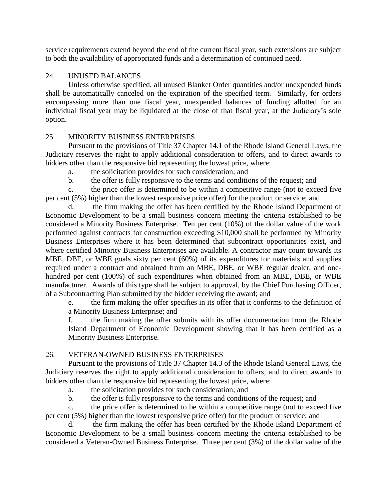service requirements extend beyond the end of the current fiscal year, such extensions are subject to both the availability of appropriated funds and a determination of continued need.

## 24. UNUSED BALANCES

Unless otherwise specified, all unused Blanket Order quantities and/or unexpended funds shall be automatically canceled on the expiration of the specified term. Similarly, for orders encompassing more than one fiscal year, unexpended balances of funding allotted for an individual fiscal year may be liquidated at the close of that fiscal year, at the Judiciary's sole option.

# 25. MINORITY BUSINESS ENTERPRISES

Pursuant to the provisions of Title 37 Chapter 14.1 of the Rhode Island General Laws, the Judiciary reserves the right to apply additional consideration to offers, and to direct awards to bidders other than the responsive bid representing the lowest price, where:

a. the solicitation provides for such consideration; and

b. the offer is fully responsive to the terms and conditions of the request; and

c. the price offer is determined to be within a competitive range (not to exceed five per cent (5%) higher than the lowest responsive price offer) for the product or service; and

d. the firm making the offer has been certified by the Rhode Island Department of Economic Development to be a small business concern meeting the criteria established to be considered a Minority Business Enterprise. Ten per cent (10%) of the dollar value of the work performed against contracts for construction exceeding \$10,000 shall be performed by Minority Business Enterprises where it has been determined that subcontract opportunities exist, and where certified Minority Business Enterprises are available. A contractor may count towards its MBE, DBE, or WBE goals sixty per cent (60%) of its expenditures for materials and supplies required under a contract and obtained from an MBE, DBE, or WBE regular dealer, and onehundred per cent (100%) of such expenditures when obtained from an MBE, DBE, or WBE manufacturer. Awards of this type shall be subject to approval, by the Chief Purchasing Officer, of a Subcontracting Plan submitted by the bidder receiving the award; and

e. the firm making the offer specifies in its offer that it conforms to the definition of a Minority Business Enterprise; and

f. the firm making the offer submits with its offer documentation from the Rhode Island Department of Economic Development showing that it has been certified as a Minority Business Enterprise.

# 26. VETERAN-OWNED BUSINESS ENTERPRISES

Pursuant to the provisions of Title 37 Chapter 14.3 of the Rhode Island General Laws, the Judiciary reserves the right to apply additional consideration to offers, and to direct awards to bidders other than the responsive bid representing the lowest price, where:

a. the solicitation provides for such consideration; and

b. the offer is fully responsive to the terms and conditions of the request; and

c. the price offer is determined to be within a competitive range (not to exceed five per cent (5%) higher than the lowest responsive price offer) for the product or service; and

d. the firm making the offer has been certified by the Rhode Island Department of Economic Development to be a small business concern meeting the criteria established to be considered a Veteran-Owned Business Enterprise. Three per cent (3%) of the dollar value of the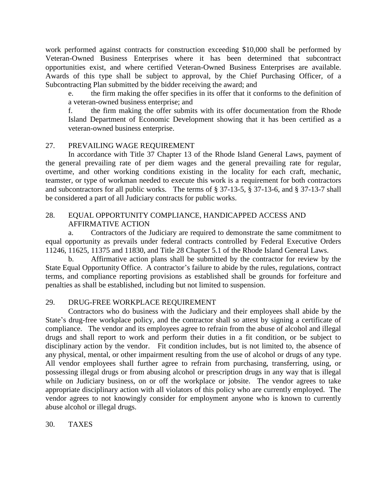work performed against contracts for construction exceeding \$10,000 shall be performed by Veteran-Owned Business Enterprises where it has been determined that subcontract opportunities exist, and where certified Veteran-Owned Business Enterprises are available. Awards of this type shall be subject to approval, by the Chief Purchasing Officer, of a Subcontracting Plan submitted by the bidder receiving the award; and

e. the firm making the offer specifies in its offer that it conforms to the definition of a veteran-owned business enterprise; and

f. the firm making the offer submits with its offer documentation from the Rhode Island Department of Economic Development showing that it has been certified as a veteran-owned business enterprise.

## 27. PREVAILING WAGE REQUIREMENT

In accordance with Title 37 Chapter 13 of the Rhode Island General Laws, payment of the general prevailing rate of per diem wages and the general prevailing rate for regular, overtime, and other working conditions existing in the locality for each craft, mechanic, teamster, or type of workman needed to execute this work is a requirement for both contractors and subcontractors for all public works. The terms of § 37-13-5, § 37-13-6, and § 37-13-7 shall be considered a part of all Judiciary contracts for public works.

## 28. EQUAL OPPORTUNITY COMPLIANCE, HANDICAPPED ACCESS AND AFFIRMATIVE ACTION

a. Contractors of the Judiciary are required to demonstrate the same commitment to equal opportunity as prevails under federal contracts controlled by Federal Executive Orders 11246, 11625, 11375 and 11830, and Title 28 Chapter 5.1 of the Rhode Island General Laws.

b. Affirmative action plans shall be submitted by the contractor for review by the State Equal Opportunity Office. A contractor's failure to abide by the rules, regulations, contract terms, and compliance reporting provisions as established shall be grounds for forfeiture and penalties as shall be established, including but not limited to suspension.

## 29. DRUG-FREE WORKPLACE REQUIREMENT

Contractors who do business with the Judiciary and their employees shall abide by the State's drug-free workplace policy, and the contractor shall so attest by signing a certificate of compliance. The vendor and its employees agree to refrain from the abuse of alcohol and illegal drugs and shall report to work and perform their duties in a fit condition, or be subject to disciplinary action by the vendor. Fit condition includes, but is not limited to, the absence of any physical, mental, or other impairment resulting from the use of alcohol or drugs of any type. All vendor employees shall further agree to refrain from purchasing, transferring, using, or possessing illegal drugs or from abusing alcohol or prescription drugs in any way that is illegal while on Judiciary business, on or off the workplace or jobsite. The vendor agrees to take appropriate disciplinary action with all violators of this policy who are currently employed. The vendor agrees to not knowingly consider for employment anyone who is known to currently abuse alcohol or illegal drugs.

30. TAXES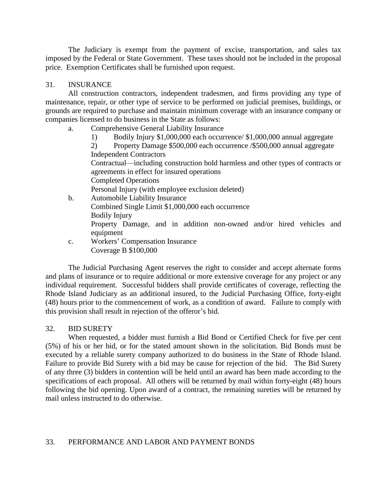The Judiciary is exempt from the payment of excise, transportation, and sales tax imposed by the Federal or State Government. These taxes should not be included in the proposal price. Exemption Certificates shall be furnished upon request.

## 31. INSURANCE

All construction contractors, independent tradesmen, and firms providing any type of maintenance, repair, or other type of service to be performed on judicial premises, buildings, or grounds are required to purchase and maintain minimum coverage with an insurance company or companies licensed to do business in the State as follows:

- a. Comprehensive General Liability Insurance
	- 1) Bodily Injury \$1,000,000 each occurrence/ \$1,000,000 annual aggregate

2) Property Damage \$500,000 each occurrence /\$500,000 annual aggregate Independent Contractors

Contractual—including construction hold harmless and other types of contracts or agreements in effect for insured operations

Completed Operations

Personal Injury (with employee exclusion deleted)

- b. Automobile Liability Insurance
	- Combined Single Limit \$1,000,000 each occurrence

Bodily Injury

Property Damage, and in addition non-owned and/or hired vehicles and equipment

c. Workers' Compensation Insurance Coverage B \$100,000

The Judicial Purchasing Agent reserves the right to consider and accept alternate forms and plans of insurance or to require additional or more extensive coverage for any project or any individual requirement. Successful bidders shall provide certificates of coverage, reflecting the Rhode Island Judiciary as an additional insured, to the Judicial Purchasing Office, forty-eight (48) hours prior to the commencement of work, as a condition of award. Failure to comply with this provision shall result in rejection of the offeror's bid.

#### 32. BID SURETY

When requested, a bidder must furnish a Bid Bond or Certified Check for five per cent (5%) of his or her bid, or for the stated amount shown in the solicitation. Bid Bonds must be executed by a reliable surety company authorized to do business in the State of Rhode Island. Failure to provide Bid Surety with a bid may be cause for rejection of the bid. The Bid Surety of any three (3) bidders in contention will be held until an award has been made according to the specifications of each proposal. All others will be returned by mail within forty-eight (48) hours following the bid opening. Upon award of a contract, the remaining sureties will be returned by mail unless instructed to do otherwise.

## 33. PERFORMANCE AND LABOR AND PAYMENT BONDS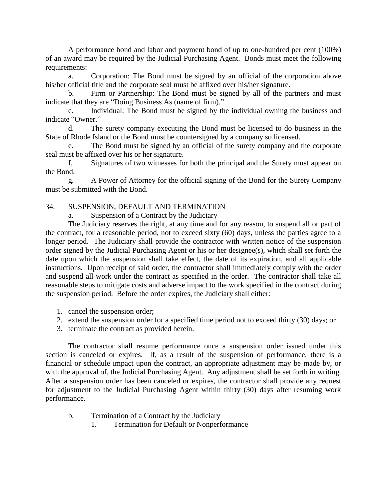A performance bond and labor and payment bond of up to one-hundred per cent (100%) of an award may be required by the Judicial Purchasing Agent. Bonds must meet the following requirements:

a. Corporation: The Bond must be signed by an official of the corporation above his/her official title and the corporate seal must be affixed over his/her signature.

b. Firm or Partnership: The Bond must be signed by all of the partners and must indicate that they are "Doing Business As (name of firm)."

c. Individual: The Bond must be signed by the individual owning the business and indicate "Owner."

d. The surety company executing the Bond must be licensed to do business in the State of Rhode Island or the Bond must be countersigned by a company so licensed.

e. The Bond must be signed by an official of the surety company and the corporate seal must be affixed over his or her signature.

f. Signatures of two witnesses for both the principal and the Surety must appear on the Bond.

g. A Power of Attorney for the official signing of the Bond for the Surety Company must be submitted with the Bond.

## 34. SUSPENSION, DEFAULT AND TERMINATION

a. Suspension of a Contract by the Judiciary

The Judiciary reserves the right, at any time and for any reason, to suspend all or part of the contract, for a reasonable period, not to exceed sixty (60) days, unless the parties agree to a longer period. The Judiciary shall provide the contractor with written notice of the suspension order signed by the Judicial Purchasing Agent or his or her designee(s), which shall set forth the date upon which the suspension shall take effect, the date of its expiration, and all applicable instructions. Upon receipt of said order, the contractor shall immediately comply with the order and suspend all work under the contract as specified in the order. The contractor shall take all reasonable steps to mitigate costs and adverse impact to the work specified in the contract during the suspension period. Before the order expires, the Judiciary shall either:

- 1. cancel the suspension order;
- 2. extend the suspension order for a specified time period not to exceed thirty (30) days; or
- 3. terminate the contract as provided herein.

The contractor shall resume performance once a suspension order issued under this section is canceled or expires. If, as a result of the suspension of performance, there is a financial or schedule impact upon the contract, an appropriate adjustment may be made by, or with the approval of, the Judicial Purchasing Agent. Any adjustment shall be set forth in writing. After a suspension order has been canceled or expires, the contractor shall provide any request for adjustment to the Judicial Purchasing Agent within thirty (30) days after resuming work performance.

- b. Termination of a Contract by the Judiciary
	- 1. Termination for Default or Nonperformance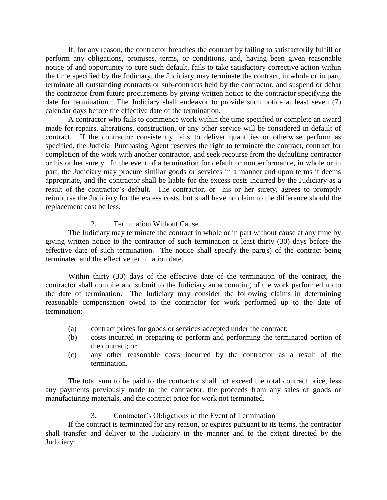If, for any reason, the contractor breaches the contract by failing to satisfactorily fulfill or perform any obligations, promises, terms, or conditions, and, having been given reasonable notice of and opportunity to cure such default, fails to take satisfactory corrective action within the time specified by the Judiciary, the Judiciary may terminate the contract, in whole or in part, terminate all outstanding contracts or sub-contracts held by the contractor, and suspend or debar the contractor from future procurements by giving written notice to the contractor specifying the date for termination. The Judiciary shall endeavor to provide such notice at least seven (7) calendar days before the effective date of the termination.

A contractor who fails to commence work within the time specified or complete an award made for repairs, alterations, construction, or any other service will be considered in default of contract. If the contractor consistently fails to deliver quantities or otherwise perform as specified, the Judicial Purchasing Agent reserves the right to terminate the contract, contract for completion of the work with another contractor, and seek recourse from the defaulting contractor or his or her surety. In the event of a termination for default or nonperformance, in whole or in part, the Judiciary may procure similar goods or services in a manner and upon terms it deems appropriate, and the contractor shall be liable for the excess costs incurred by the Judiciary as a result of the contractor's default. The contractor, or his or her surety, agrees to promptly reimburse the Judiciary for the excess costs, but shall have no claim to the difference should the replacement cost be less.

## 2. Termination Without Cause

The Judiciary may terminate the contract in whole or in part without cause at any time by giving written notice to the contractor of such termination at least thirty (30) days before the effective date of such termination. The notice shall specify the part(s) of the contract being terminated and the effective termination date.

Within thirty (30) days of the effective date of the termination of the contract, the contractor shall compile and submit to the Judiciary an accounting of the work performed up to the date of termination. The Judiciary may consider the following claims in determining reasonable compensation owed to the contractor for work performed up to the date of termination:

- (a) contract prices for goods or services accepted under the contract;
- (b) costs incurred in preparing to perform and performing the terminated portion of the contract; or
- (c) any other reasonable costs incurred by the contractor as a result of the termination.

The total sum to be paid to the contractor shall not exceed the total contract price, less any payments previously made to the contractor, the proceeds from any sales of goods or manufacturing materials, and the contract price for work not terminated.

## 3. Contractor's Obligations in the Event of Termination

If the contract is terminated for any reason, or expires pursuant to its terms, the contractor shall transfer and deliver to the Judiciary in the manner and to the extent directed by the Judiciary: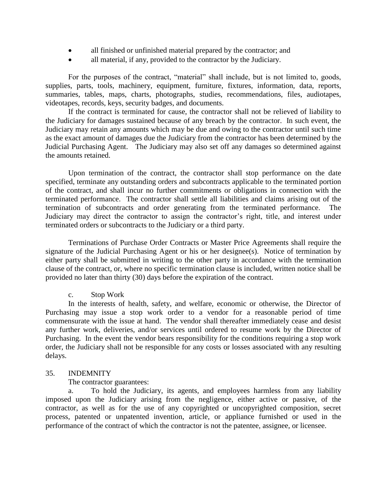- all finished or unfinished material prepared by the contractor; and
- all material, if any, provided to the contractor by the Judiciary.

For the purposes of the contract, "material" shall include, but is not limited to, goods, supplies, parts, tools, machinery, equipment, furniture, fixtures, information, data, reports, summaries, tables, maps, charts, photographs, studies, recommendations, files, audiotapes, videotapes, records, keys, security badges, and documents.

If the contract is terminated for cause, the contractor shall not be relieved of liability to the Judiciary for damages sustained because of any breach by the contractor. In such event, the Judiciary may retain any amounts which may be due and owing to the contractor until such time as the exact amount of damages due the Judiciary from the contractor has been determined by the Judicial Purchasing Agent. The Judiciary may also set off any damages so determined against the amounts retained.

Upon termination of the contract, the contractor shall stop performance on the date specified, terminate any outstanding orders and subcontracts applicable to the terminated portion of the contract, and shall incur no further commitments or obligations in connection with the terminated performance. The contractor shall settle all liabilities and claims arising out of the termination of subcontracts and order generating from the terminated performance. The Judiciary may direct the contractor to assign the contractor's right, title, and interest under terminated orders or subcontracts to the Judiciary or a third party.

Terminations of Purchase Order Contracts or Master Price Agreements shall require the signature of the Judicial Purchasing Agent or his or her designee(s). Notice of termination by either party shall be submitted in writing to the other party in accordance with the termination clause of the contract, or, where no specific termination clause is included, written notice shall be provided no later than thirty (30) days before the expiration of the contract.

#### c. Stop Work

In the interests of health, safety, and welfare, economic or otherwise, the Director of Purchasing may issue a stop work order to a vendor for a reasonable period of time commensurate with the issue at hand. The vendor shall thereafter immediately cease and desist any further work, deliveries, and/or services until ordered to resume work by the Director of Purchasing. In the event the vendor bears responsibility for the conditions requiring a stop work order, the Judiciary shall not be responsible for any costs or losses associated with any resulting delays.

#### 35. INDEMNITY

The contractor guarantees:

a. To hold the Judiciary, its agents, and employees harmless from any liability imposed upon the Judiciary arising from the negligence, either active or passive, of the contractor, as well as for the use of any copyrighted or uncopyrighted composition, secret process, patented or unpatented invention, article, or appliance furnished or used in the performance of the contract of which the contractor is not the patentee, assignee, or licensee.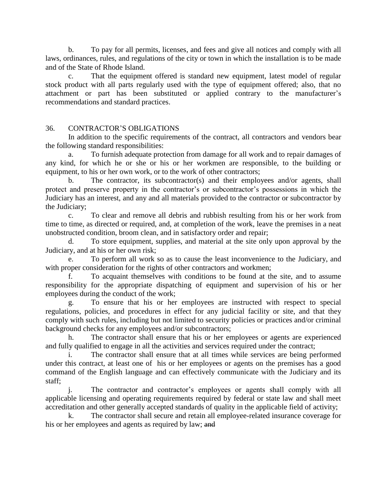b. To pay for all permits, licenses, and fees and give all notices and comply with all laws, ordinances, rules, and regulations of the city or town in which the installation is to be made and of the State of Rhode Island.

c. That the equipment offered is standard new equipment, latest model of regular stock product with all parts regularly used with the type of equipment offered; also, that no attachment or part has been substituted or applied contrary to the manufacturer's recommendations and standard practices.

## 36. CONTRACTOR'S OBLIGATIONS

In addition to the specific requirements of the contract, all contractors and vendors bear the following standard responsibilities:

a. To furnish adequate protection from damage for all work and to repair damages of any kind, for which he or she or his or her workmen are responsible, to the building or equipment, to his or her own work, or to the work of other contractors;

b. The contractor, its subcontractor(s) and their employees and/or agents, shall protect and preserve property in the contractor's or subcontractor's possessions in which the Judiciary has an interest, and any and all materials provided to the contractor or subcontractor by the Judiciary;

c. To clear and remove all debris and rubbish resulting from his or her work from time to time, as directed or required, and, at completion of the work, leave the premises in a neat unobstructed condition, broom clean, and in satisfactory order and repair;

d. To store equipment, supplies, and material at the site only upon approval by the Judiciary, and at his or her own risk;

e. To perform all work so as to cause the least inconvenience to the Judiciary, and with proper consideration for the rights of other contractors and workmen;

f. To acquaint themselves with conditions to be found at the site, and to assume responsibility for the appropriate dispatching of equipment and supervision of his or her employees during the conduct of the work;

g. To ensure that his or her employees are instructed with respect to special regulations, policies, and procedures in effect for any judicial facility or site, and that they comply with such rules, including but not limited to security policies or practices and/or criminal background checks for any employees and/or subcontractors;

h. The contractor shall ensure that his or her employees or agents are experienced and fully qualified to engage in all the activities and services required under the contract;

The contractor shall ensure that at all times while services are being performed under this contract, at least one of his or her employees or agents on the premises has a good command of the English language and can effectively communicate with the Judiciary and its staff;

j. The contractor and contractor's employees or agents shall comply with all applicable licensing and operating requirements required by federal or state law and shall meet accreditation and other generally accepted standards of quality in the applicable field of activity;

k. The contractor shall secure and retain all employee-related insurance coverage for his or her employees and agents as required by law; and